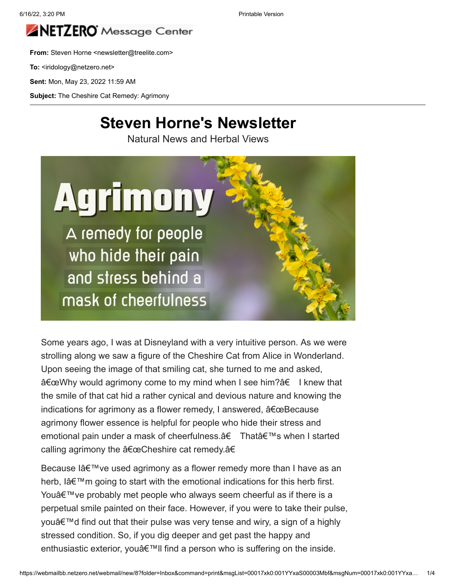

**From:** Steven Horne <newsletter@treelite.com>

To: <iridology@netzero.net>

**Sent:** Mon, May 23, 2022 11:59 AM

**Subject:** The Cheshire Cat Remedy: Agrimony

### **Steven Horne's Newsletter**

Natural News and Herbal Views



Some years ago, I was at Disneyland with a very intuitive person. As we were strolling along we saw a figure of the Cheshire Cat from Alice in Wonderland. Upon seeing the image of that smiling cat, she turned to me and asked, "Why would agrimony come to my mind when I see him?†I knew that the smile of that cat hid a rather cynical and devious nature and knowing the indications for agrimony as a flower remedy, I answered,  $\hat{a} \in \text{ceBecause}$ agrimony flower essence is helpful for people who hide their stress and emotional pain under a mask of cheerfulness.†That's when I started calling agrimony the "Cheshire cat remedy.â€

Because lâ $\epsilon^{\text{TM}}$  ve used agrimony as a flower remedy more than I have as an herb, I $a \in \mathbb{M}$  m going to start with the emotional indications for this herb first. You $\hat{\mathcal{A}} \in \mathbb{N}$  ve probably met people who always seem cheerful as if there is a perpetual smile painted on their face. However, if you were to take their pulse, you'd find out that their pulse was very tense and wiry, a sign of a highly stressed condition. So, if you dig deeper and get past the happy and enthusiastic exterior, youâ€<sup>™</sup>ll find a person who is suffering on the inside.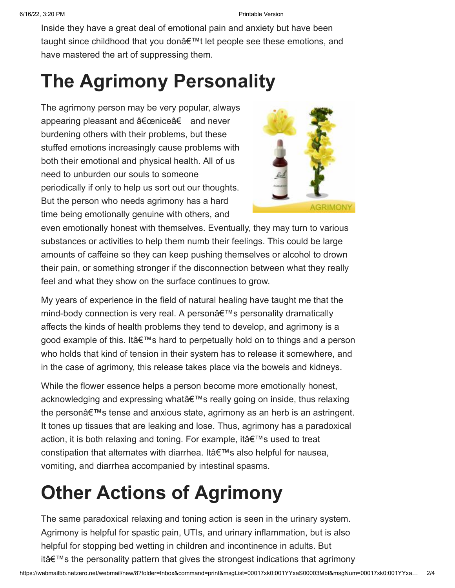Inside they have a great deal of emotional pain and anxiety but have been taught since childhood that you don't let people see these emotions, and have mastered the art of suppressing them.

# **The Agrimony Personality**

The agrimony person may be very popular, always appearing pleasant and "nice†and never burdening others with their problems, but these stuffed emotions increasingly cause problems with both their emotional and physical health. All of us need to unburden our souls to someone periodically if only to help us sort out our thoughts. But the person who needs agrimony has a hard time being emotionally genuine with others, and



even emotionally honest with themselves. Eventually, they may turn to various substances or activities to help them numb their feelings. This could be large amounts of caffeine so they can keep pushing themselves or alcohol to drown their pain, or something stronger if the disconnection between what they really feel and what they show on the surface continues to grow.

My years of experience in the field of natural healing have taught me that the mind-body connection is very real. A personâ€<sup>™</sup>s personality dramatically affects the kinds of health problems they tend to develop, and agrimony is a good example of this. It's hard to perpetually hold on to things and a person who holds that kind of tension in their system has to release it somewhere, and in the case of agrimony, this release takes place via the bowels and kidneys.

While the flower essence helps a person become more emotionally honest, acknowledging and expressing what's really going on inside, thus relaxing the person $\hat{\mathbf{a}} \in \mathbb{M}$  is tense and anxious state, agrimony as an herb is an astringent. It tones up tissues that are leaking and lose. Thus, agrimony has a paradoxical action, it is both relaxing and toning. For example, it's used to treat constipation that alternates with diarrhea. It's also helpful for nausea, vomiting, and diarrhea accompanied by intestinal spasms.

# **Other Actions of Agrimony**

The same paradoxical relaxing and toning action is seen in the urinary system. Agrimony is helpful for spastic pain, UTIs, and urinary inflammation, but is also helpful for stopping bed wetting in children and incontinence in adults. But itâ $\epsilon$ <sup>TM</sup>s the personality pattern that gives the strongest indications that agrimony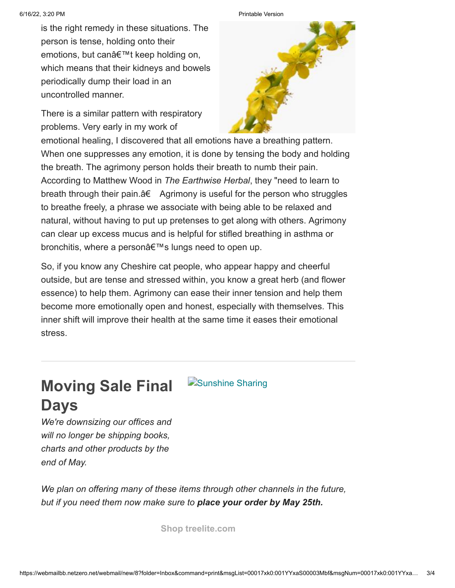is the right remedy in these situations. The person is tense, holding onto their emotions, but can't keep holding on, which means that their kidneys and bowels periodically dump their load in an uncontrolled manner.

There is a similar pattern with respiratory problems. Very early in my work of





emotional healing, I discovered that all emotions have a breathing pattern. When one suppresses any emotion, it is done by tensing the body and holding the breath. The agrimony person holds their breath to numb their pain. According to Matthew Wood in *The Earthwise Herbal*, they "need to learn to breath through their pain. $A \in \text{Agrimony}$  is useful for the person who struggles to breathe freely, a phrase we associate with being able to be relaxed and natural, without having to put up pretenses to get along with others. Agrimony can clear up excess mucus and is helpful for stifled breathing in asthma or bronchitis, where a person's lungs need to open up.

So, if you know any Cheshire cat people, who appear happy and cheerful outside, but are tense and stressed within, you know a great herb (and flower essence) to help them. Agrimony can ease their inner tension and help them become more emotionally open and honest, especially with themselves. This inner shift will improve their health at the same time it eases their emotional stress.

## **Moving Sale Final D**[Sunshine Sharing](https://stevenhorne.us20.list-manage.com/track/click?u=de2462c38e0503003a285094c&id=b30fc3a088&e=c07f7d0955) **Days**

*We're downsizing our offices and will no longer be shipping books, charts and other products by the end of May.*

*We plan on offering many of these items through other channels in the future, but if you need them now make sure to place your order by May 25th.*

**[Shop treelite.com](https://stevenhorne.us20.list-manage.com/track/click?u=de2462c38e0503003a285094c&id=d1a87ab540&e=c07f7d0955)**